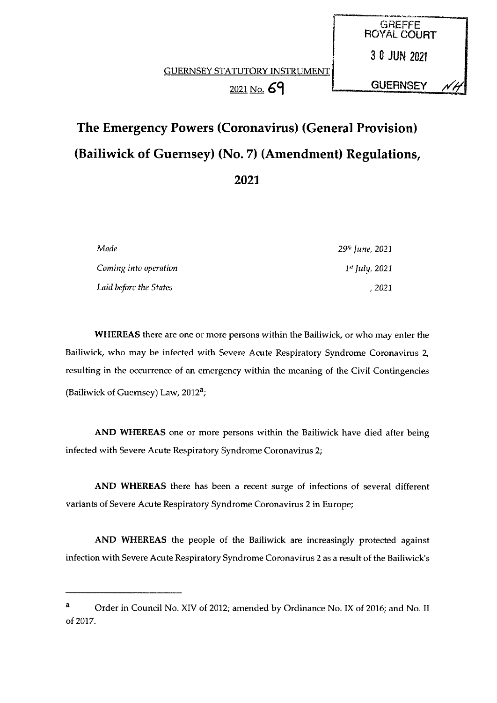$2021$  No.  $69$   $2021$ 

**GREFFE** ROYAL COURT

30 JUN <sup>2021</sup>

# The Emergency Powers (Coronavirus) (General Provision) (Bailiwick of Guernsey) (No. 7) (Amendment) Regulations, 2021

| Made                   | 29 <sup>th</sup> June, 2021 |
|------------------------|-----------------------------|
| Coming into operation  | $1^{st}$ July, 2021         |
| Laid before the States | , 2021                      |

WHEREAS there are one or more persons within the Bailiwick, or who may enter the Bailiwick, who may be infected with Severe Acute Respiratory Syndrome Coronavirus 2, resulting in the occurrence of an emergency within the meaning of the Civil Contingencies (Bailiwick of Guernsey) Law,  $2012<sup>a</sup>$ ;

AND WHEREAS one or more persons within the Bailiwick have died after being infected with Severe Acute Respiratory Syndrome Coronavirus 2;

AND WHEREAS there has been a recent surge of infections of several different variants of Severe Acute Respiratory Syndrome Coronavirus 2 in Europe;

AND WHEREAS the people of the Bailiwick are increasingly protected against infection with Severe Acute Respiratory Syndrome Coronavirus 2 as a result of the Bailiwick's

<sup>&</sup>lt;sup>a</sup> Order in Council No. XIV of 2012; amended by Ordinance No. IX of 2016; and No. II of 2017.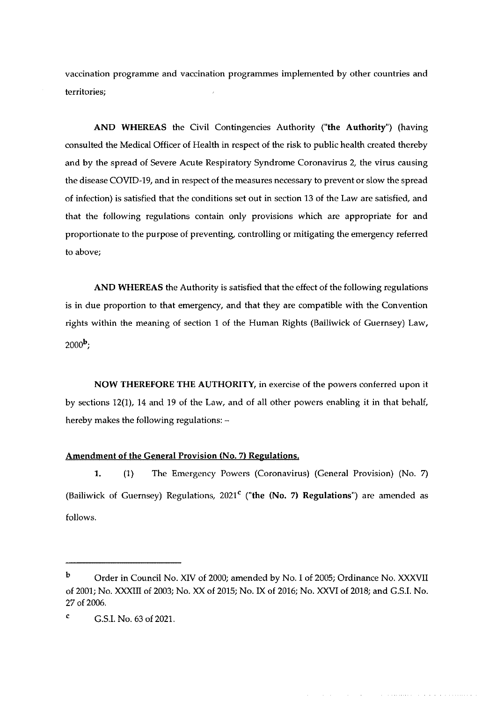vaccination programme and vaccination programmes implemented by other countries and territories;

AND WHEREAS the Civil Contingencies Authority ("the Authority") (having consulted the Medical Officer of Health in respect of the risk to public health created thereby and by the spread of Severe Acute Respiratory Syndrome Coronavirus 2, the virus causing the disease COVID-19, and in respect of the measures necessary to prevent or slow the spread of infection) is satisfied that the conditions set out in section 13 of the Law are satisfied, and that the following regulations contain only provisions which are appropriate for and proportionate to the purpose of preventing, controlling or mitigating the emergency referred to above;

AND WHEREAS the Authority is satisfied that the effect of the following regulations is in due proportion to that emergency, and that they are compatible with the Convention rights within the meaning of section <sup>1</sup> of the Human Rights (Bailiwick of Guernsey) Law,  $2000<sup>b</sup>$ .

NOW THEREFORE THE AUTHORITY, in exercise of the powers conferred upon it by sections 12(1), 14 and 19 of the Law, and of all other powers enabling it in that behalf, hereby makes the following regulations: —

#### Amendment of the General Provision (No. 7) Regulations.

1. (1) The Emergency Powers (Coronavirus) (General Provision) (No. 7) (Bailiwick of Guernsey) Regulations,  $2021<sup>c</sup>$  ("the (No. 7) Regulations") are amended as follows.

b Order in Council No. XIV of 2000; amended by No. I of 2005; Ordinance No. XXXVII of 2001; No. XXXIII of 2003; No. XX of 2015; No. IX of 2016; No. XXVI of 2018; and G.S.I. No. 27 of 2006.

 $C$  G.S.I. No. 63 of 2021.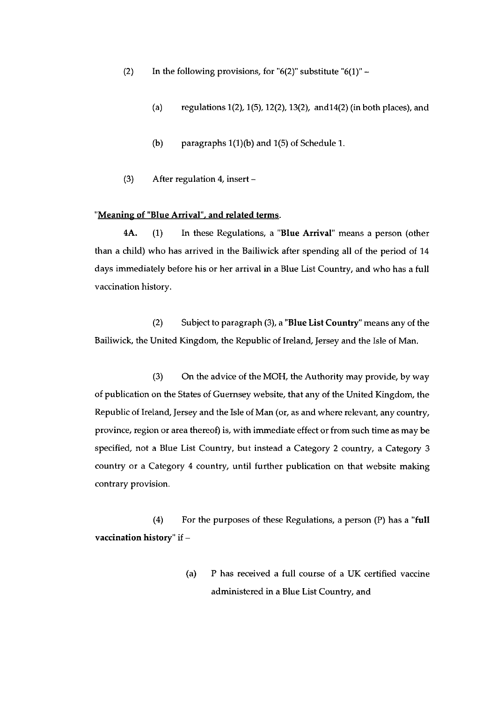- (2) In the following provisions, for "6(2)" substitute "6(1)"  $-$ 
	- (a) regulations 1(2), 1(5), 12(2), 13(2), and 14(2) (in both places), and
	- (b) paragraphs 1(1)(b) and 1(5) of Schedule 1.
- (3) After regulation 4, insert —

## "Meaning of "Blue Arrival", and related terms.

4A. (1) In these Regulations, a "Blue Arrival" means a person (other than a child) who has arrived in the Bailiwick after spending all of the period of 14 days immediately before his or her arrival in a Blue List Country, and who has a full vaccination history.

(2) Subject to paragraph (3), a "Blue List Country" means any of the Bailiwick, the United Kingdom, the Republic of Ireland, Jersey and the Isle of Man.

(3) On the advice of the MOH, the Authority may provide, by way of publication on the States of Guernsey website, that any of the United Kingdom, the Republic of Ireland, Jersey and the Isle of Man (or, as and where relevant, any country, province, region or area thereof) is, with immediate effect or from such time as may be specified, not a Blue List Country, but instead a Category 2 country, a Category <sup>3</sup> country or a Category <sup>4</sup> country, until further publication on that website making contrary provision.

(4) For the purposes of these Regulations, a person (P) has a "full vaccination history" if —

> (a) P has received a full course of a UK certified vaccine administered in a Blue List Country, and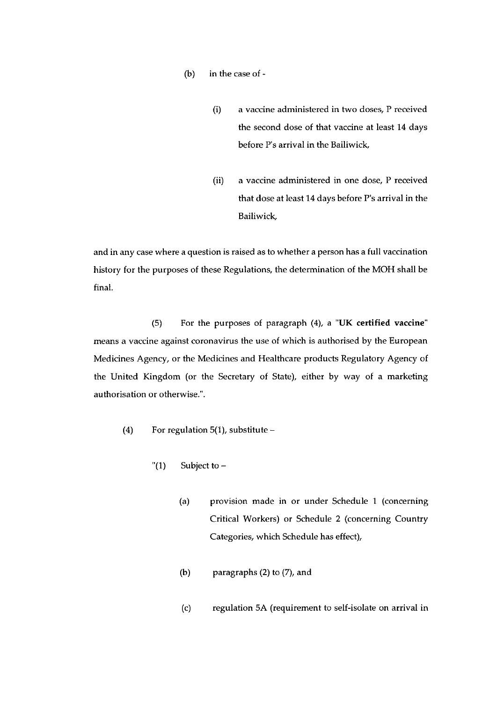- (b) in the case of
	- (i) a vaccine administered in two doses, P received the second dose of that vaccine at least 14 days before P's arrival in the Bailiwick,
	- (ii) a vaccine administered in one dose, P received that dose at least 14 days before P's arrival in the Bailiwick,

and in any case where a question is raised as to whether a person has a full vaccination history for the purposes of these Regulations, the determination of the MOH shall be final.

(5) For the purposes of paragraph (4), a "UK certified vaccine" means a vaccine against coronavirus the use of which is authorised by the European Medicines Agency, or the Medicines and Healthcare products Regulatory Agency of the United Kingdom (or the Secretary of State), either by way of a marketing authorisation or otherwise.".

- (4) For regulation 5(1), substitute
	- " $(1)$  Subject to
		- (a) provision made in or under Schedule I (concerning Critical Workers) or Schedule 2 (concerning Country Categories, which Schedule has effect),
		- (b) paragraphs (2) to (7), and
		- (c) regulation 5A (requirement to self-isolate on arrival in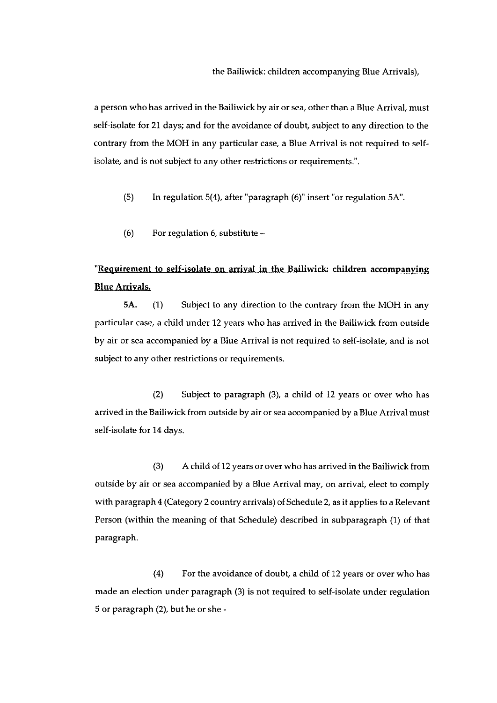a person who has arrived in the Bailiwick by air or sea, other than a Blue Arrival, must self-isolate for 21 days; and for the avoidance of doubt, subject to any direction to the contrary from the MOH in any particular case, a Blue Arrival is not required to selfisolate, and is not subject to any other restrictions or requirements.'.

(5) In regulation 5(4), after 'paragraph (6)' insert "or regulation 5K'.

(6) For regulation 6, substitute —

# "Requirement to self-isolate on arrival in the Bailiwick: children accompanying Blue Arrivals.

5A. (1) Subject to any direction to the contrary from the MOH in any particular case, a child under 12 years who has arrived in the Bailiwick from outside by air or sea accompanied by a Blue Arrival is not required to self-isolate, and is not subject to any other restrictions or requirements.

(2) Subject to paragraph (3), a child of 12 years or over who has arrived in the Bailiwick from outside by air or sea accompanied by a Blue Arrival must self-isolate for 14 days.

(3) A child of 12 years or over who has arrived in the Bailiwick from outside by air or sea accompanied by a Blue Arrival may, on arrival, elect to comply with paragraph <sup>4</sup> (Category 2 country arrivals) of Schedule 2, as it applies to a Relevant Person (within the meaning of that Schedule) described in subparagraph (1) of that paragraph.

(4) For the avoidance of doubt, a child of 12 years or over who has made an election under paragraph (3) is not required to self-isolate under regulation 5 or paragraph (2), but he or she -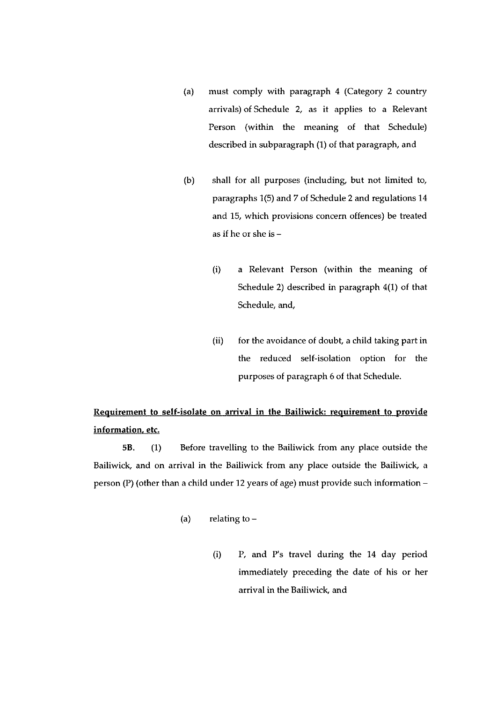- (a) must comply with paragraph 4 (Category 2 country arrivals) of Schedule 2, as it applies to a Relevant Person (within the meaning of that Schedule) described in subparagraph (1) of that paragraph, and
- (b) shall for all purposes (including, but not limited to, paragraphs 1(5) and 7 of Schedule 2 and regulations 14 and 15, which provisions concern offences) be treated as if he or she is —
	- (i) a Relevant Person (within the meaning of Schedule 2) described in paragraph 4(1) of that Schedule, and,
	- $(ii)$  for the avoidance of doubt, a child taking part in the reduced self-isolation option for the purposes of paragraph 6 of that Schedule.

# Requirement to self-isolate on arrival in the Bailiwick: requirement to provide information, etc.

5B. (1) Before travelling to the Bailiwick from any place outside the Bailiwick, and on arrival in the Bailiwick from any place outside the Bailiwick, a person (P) (other than a child under 12 years of age) must provide such information —

- (a) relating to  $-$ 
	- (i) P. arid P's travel during the 14 day period immediately preceding the date of his or her arrival in the Bailiwick, and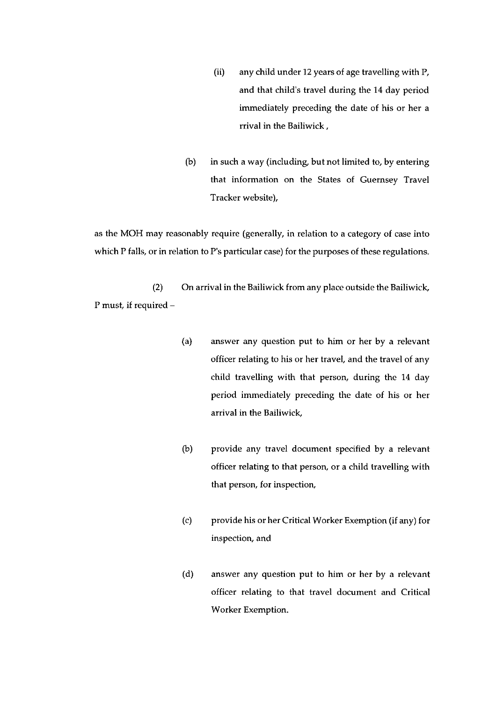- (ii) any child under 12 years of age travelling with P. and that child's travel during the 14 day period immediately preceding the date of his or her a rrival in the Bailiwick,
- (b) in such a way (including, but not limited to, by entering that information on the States of Guernsey Travel Tracker website),

as the MOH may reasonably require (generally, in relation to a category of case into which P falls, or in relation to P's particular case) for the purposes of these regulations.

(2) On arrival in the Bailiwick from any place outside the Bailiwick, P must if required —

- (a) answer any question put to him or her by a relevant officer relating to his or her travel, and the travel of any child travelling with that person, during the 14 day period immediately preceding the date of his or her arrival in the Bailiwick,
- (b) provide any travel document specified by a relevant officer relating to that person, or a child travelling with that person, for inspection,
- (c) provide his or her Critical Worker Exemption (if any) for inspection, and
- (d) answer any question put to him or her by a relevant officer relating to that travel document and Critical Worker Exemption.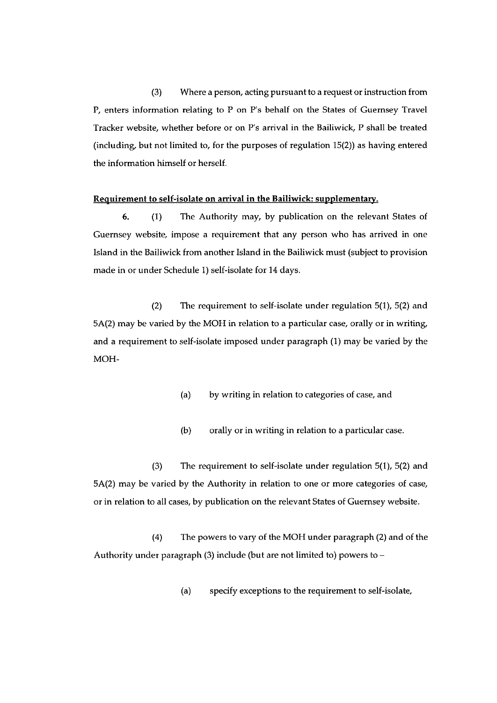(3) Where a person, acting pursuant to a request or instruction from P. enters information relating to P on P's behalf on the States of Guernsey Travel Tracker website, whether before or on P's arrival in the Bailiwick, P shall be treated (including, but not limited to, for the purposes of regulation 15(2)) as having entered the information himself or herself.

#### Requirement to self-isolate on arrival in the Bailiwick: supylementary.

6. (1) The Authority may, by publication on the relevant States of Guernsey website, impose a requirement that any person who has arrived in one Island in the Bailiwick from another Island in the Bailiwick must (subject to provision made in or under Schedule 1) self-isolate for 14 days.

(2) The requirement to self-isolate under regulation 5(1), 5(2) and 5A(2) may be varied by the MOH in relation to a particular case, orally or in writing, and a requirement to self-isolate imposed under paragraph (1) may be varied by the MOH

- (a) by writing in relation to categories of case, and
- (b) orally or in writing in relation to a particular case.

(3) The requirement to self-isolate under regulation 5(1), 5(2) and 5A(2) may be varied by the Authority in relation to one or more categories of case, or in relation to all cases, by publication on the relevant States of Guernsey website.

(4) The powers to vary of the MOH under paragraph (2) and of the Authority under paragraph (3) include (but are not limited to) powers to —

(a) specify exceptions to the requirement to self-isolate,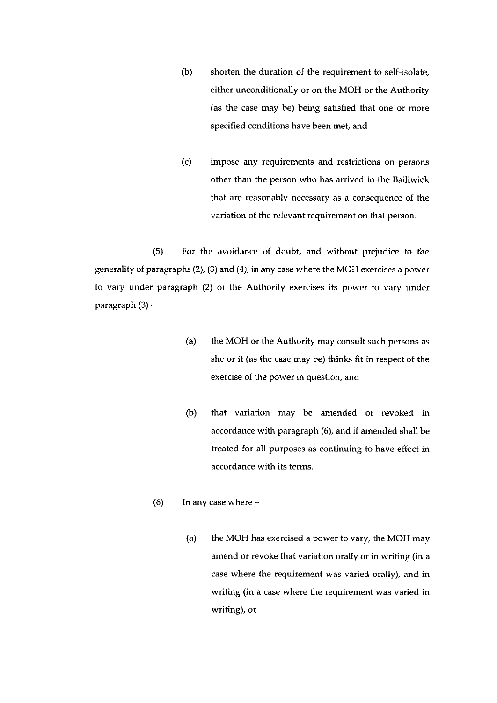- (b) shorten the duration of the requirement to self-isolate, either unconditionally or on the MOH or the Authority (as the case may be) being satisfied that one or more specified conditions have been met, and
- (c) impose any requirements and restrictions on persons other than the person who has arrived in the Bailiwick that are reasonably necessary as a consequence of the variation of the relevant requirement on that person.

(5) For the avoidance of doubt, and without prejudice to the generality of paragraphs (2), (3) and (4), in any case where the MOH exercises a power to vary under paragraph (2) or the Authority exercises its power to vary under paragraph (3) —

- (a) the MOH or the Authority may consult such persons as she or it (as the case may be) thinks fit in respect of the exercise of the power in question, and
- (b) that variation may be amended or revoked in accordance with paragraph (6), and if amended shall be treated for all purposes as continuing to have effect in accordance with its terms.
- (6) In any case where
	- (a) the MOH has exercised a power to vary, the MOH may amend or revoke that variation orally or in writing (in a case where the requirement was varied orally), and in writing (in a case where the requirement was varied in writing), or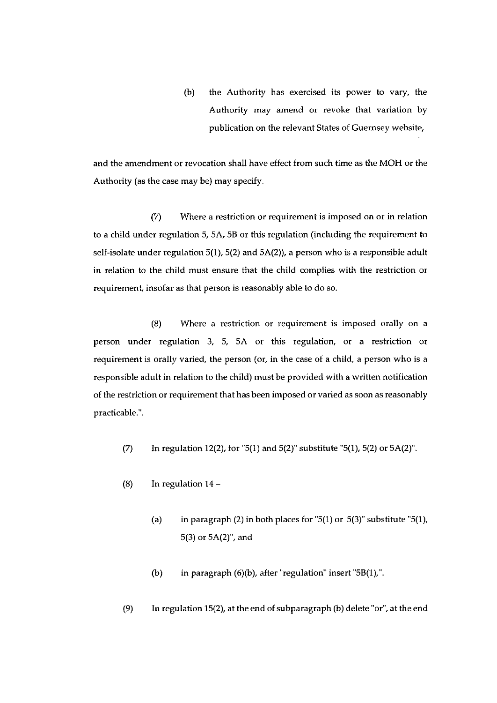(b) the Authority has exercised its power to vary, the Authority may amend or revoke that variation by publication on the relevant States of Guernsey website,

and the amendment or revocation shall have effect from such time as the MOH or the Authority (as the case may be) may specify.

(7) Where a restriction or requirement is imposed on or in relation to a child under regulation 5, 5A, 5B or this regulation (including the requirement to self-isolate under regulation 5(1), 5(2) and 5A(2)), a person who is a responsible adult in relation to the child must ensure that the child complies with the restriction or requirement, insofar as that person is reasonably able to do so.

(8) Where a restriction or requirement is imposed orally on a person under regulation 3, 5, 5A or this regulation, or a restriction or requirement is orally varied, the person (or, in the case of a child, a person who is a responsible adult in relation to the child) must be provided with a written notification of the restriction or requirement that has been imposed or varied as soon as reasonably practicable.".

- (7) In regulation 12(2), for "5(1) and 5(2)" substitute "5(1), 5(2) or 5A(2)".
- (8) In regulation 14—
	- (a) in paragraph (2) in both places for "5(1) or 5(3)" substitute "5(1), 5(3) or 5A(2)", and
	- (b) in paragraph (6)(b), after "regulation" insert "58(1),".
- (9) In regulation 15(2), at the end of subparagraph (b) delete "or", at the end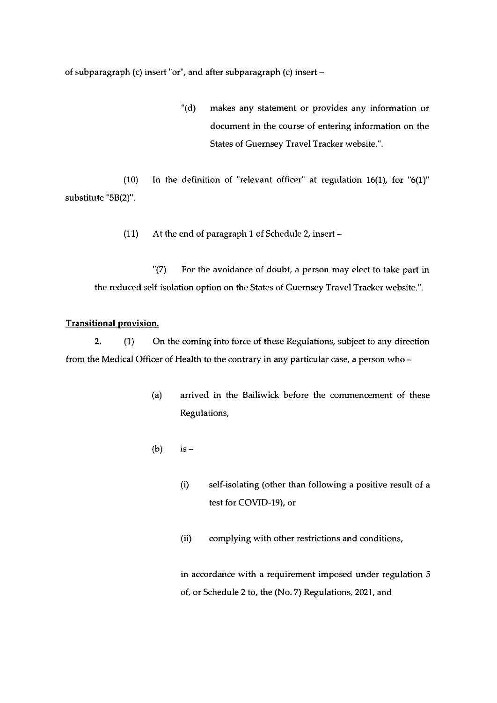of subparagraph (c) insert "or", and after subparagraph (c) insert —

(d) makes any statement or provides any information or document in the course of entering information on the States of Guernsey Travel Tracker website.'.

(10) In the definition of "relevant officer" at regulation 16(1), for "6(1)" substitute '5B(2)".

(11) At the end of paragraph I of Schedule 2, insert —

" $(7)$  For the avoidance of doubt, a person may elect to take part in the reduced self-isolation option on the States of Guernsey Travel Tracker website.'.

#### Transitional provision.

2. (1) On the coming into force of these Regulations, subject to any direction from the Medical Officer of Health to the contrary in any particular case, a person who —

- (a) arrived in the Bailiwick before the commencement of these Regulations,
- (b) is  $-$ 
	- (i) self-isolating (other than following a positive result of a test for COVID-19), or
	- (ii) complying with other restrictions and conditions,

in accordance with a requirement imposed under regulation 5 of, or Schedule 2 to, the (No. 7) Regulations, 2021, and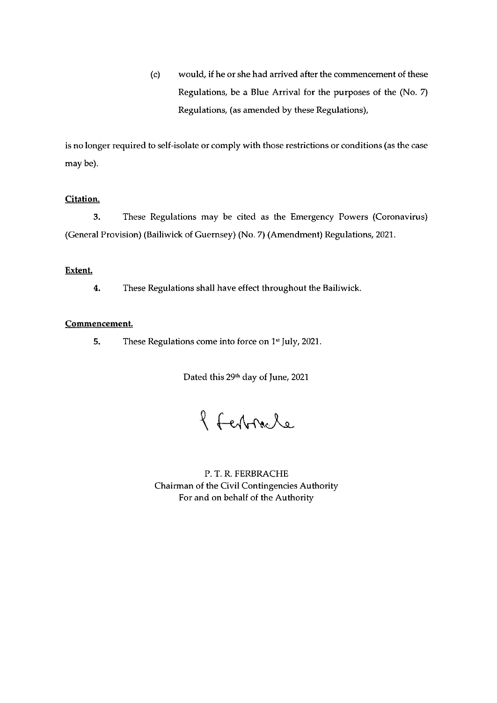(c) would, if he or she had arrived after the commencement of these Regulations, be a Blue Arrival for the purposes of the (No. 7) Regulations, (as amended by these Regulations),

is no longer required to self-isolate or comply with those restrictions or conditions (as the case may be).

# Citation.

3. These Regulations may be cited as the Emergency Powers (Coronavirus) (General Provision) (Bailiwick of Guernsey) (No. 7) (Amendment) Regulations, 2011.

#### Extent.

4. These Regulations shall have effect throughout the Bailiwick.

### Commencement.

5. These Regulations come into force on 1<sup>st</sup> July, 2021.

Dated this 29<sup>th</sup> day of June, 2021

8 Ferbracle

P. T. R. FERBRACHE Chairman of the Civil Contingencies Authority For and on behalf of the Authority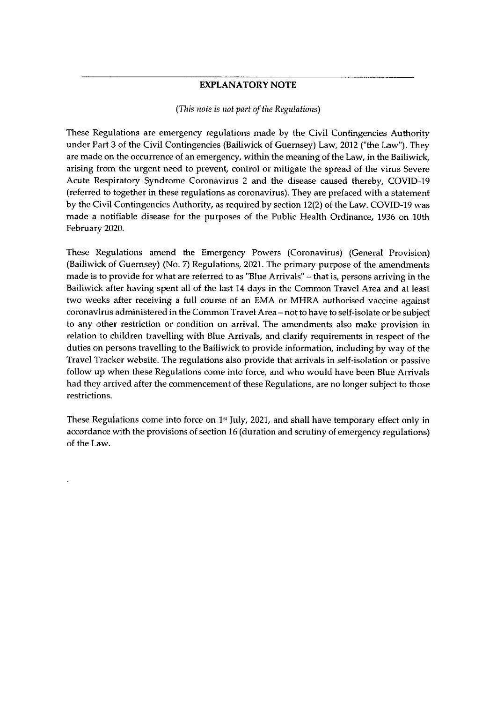## EXPLANATORY NOTE

#### (This note is not part of the Regulations)

These Regulations are emergency regulations made by the Civil Contingencies Authority under Part 3 of the Civil Contingencies (Bailiwick of Guernsey) Law, 2012 ("the Law"). They are made on the occurrence of an emergency, within the meaning of the Law, in the Bailiwick, arising from the urgent need to prevent, control or mitigate the spread of the virus Severe Acute Respiratory Syndrome Coronavirus <sup>2</sup> and the disease caused thereby, COVID-19 (referred to together in these regulations as coronavirus). They are prefaced with a statement by the Civil Contingencies Authority, as required by section 12(2) of the Law. COVID-19 was made a notifiable disease for the purposes of the Public Health Ordinance, 1936 on 10th February 2020.

These Regulations amend the Emergency Powers (Coronavirus) (General Provision) (Bailiwick of Guernsey) (No. 7) Regulations, 2021- The primary purpose of the amendments made is to provide for what are referred to as "Blue Arrivals" — that is, persons arriving in the Bailiwick after having spent all of the last 14 days in the Common Travel Area and at least two weeks after receiving a full course of an EMA or MHRA authorised vaccine against coronavirus administered in the Common Travel Area — not to have to self-isolate or be subject to any other restriction or condition on arrival. The amendments also make provision in relation to children travelling with Blue Arrivals, and clarify requirements in respect of the duties on persons travelling to the Bailiwick to provide information, including by way of the Travel Tracker website. The regulations also provide that arrivals in self-isolation or passive follow up when these Regulations come into force, and who would have been Blue Arrivals had they arrived after the commencement of these Regulations, are no longer subject to those restrictions.

These Regulations come into force on  $1<sup>s</sup>$  July, 2021, and shall have temporary effect only in accordance with the provisions of section 16 (duration and scrutiny of emergency regulations) of the Law.